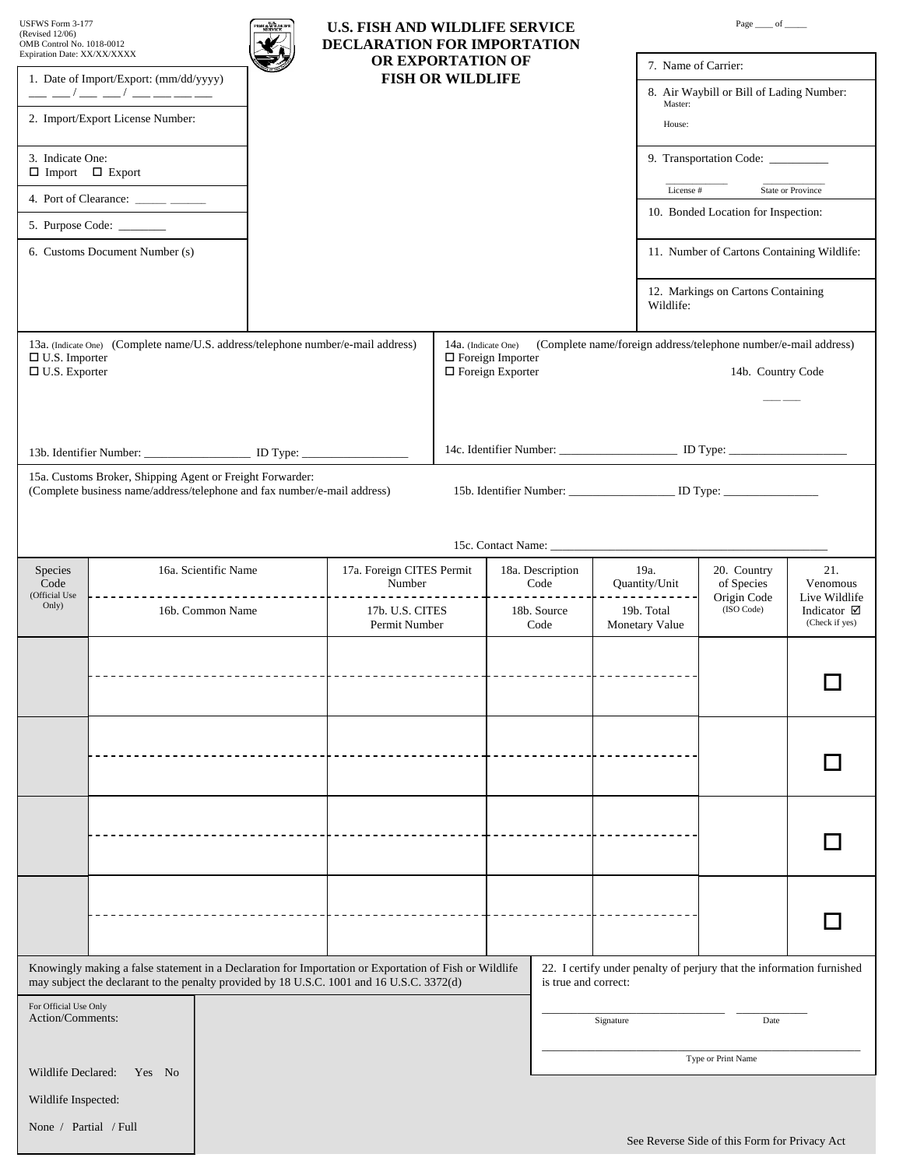| USFWS Form 3-177<br>(Revised 12/06)<br>OMB Control No. 1018-0012 |                                                                                                                                                                                                     | ะ รูนี้ในมาค<br>U.S. FISH AND WILDLIFE SERVICE<br>DECLARATION FOR IMPORTATION |                                              |                     | Page $\_\_$ of $\_\_$                              |                                                                                  |                                            |                                                    |
|------------------------------------------------------------------|-----------------------------------------------------------------------------------------------------------------------------------------------------------------------------------------------------|-------------------------------------------------------------------------------|----------------------------------------------|---------------------|----------------------------------------------------|----------------------------------------------------------------------------------|--------------------------------------------|----------------------------------------------------|
| Expiration Date: XX/XX/XXXX                                      |                                                                                                                                                                                                     |                                                                               | OR EXPORTATION OF<br><b>FISH OR WILDLIFE</b> |                     |                                                    |                                                                                  | 7. Name of Carrier:                        |                                                    |
| 1. Date of Import/Export: (mm/dd/yyyy)<br>$- - - - --$           |                                                                                                                                                                                                     |                                                                               |                                              |                     |                                                    | Master:                                                                          | 8. Air Waybill or Bill of Lading Number:   |                                                    |
|                                                                  | 2. Import/Export License Number:                                                                                                                                                                    |                                                                               |                                              |                     |                                                    | House:                                                                           |                                            |                                                    |
| 3. Indicate One:                                                 | $\Box$ Import $\Box$ Export                                                                                                                                                                         |                                                                               |                                              |                     |                                                    |                                                                                  | 9. Transportation Code: _________          |                                                    |
|                                                                  | 4. Port of Clearance: ______ _____                                                                                                                                                                  |                                                                               |                                              |                     |                                                    | License #                                                                        |                                            | State or Province                                  |
|                                                                  | 5. Purpose Code:                                                                                                                                                                                    |                                                                               |                                              |                     |                                                    |                                                                                  | 10. Bonded Location for Inspection:        |                                                    |
|                                                                  | 6. Customs Document Number (s)                                                                                                                                                                      |                                                                               |                                              |                     |                                                    |                                                                                  | 11. Number of Cartons Containing Wildlife: |                                                    |
|                                                                  |                                                                                                                                                                                                     |                                                                               |                                              |                     |                                                    | Wildlife:                                                                        | 12. Markings on Cartons Containing         |                                                    |
|                                                                  | 13a. (Indicate One) (Complete name/U.S. address/telephone number/e-mail address)                                                                                                                    |                                                                               |                                              | 14a. (Indicate One) |                                                    | (Complete name/foreign address/telephone number/e-mail address)                  |                                            |                                                    |
| $\Box$ U.S. Importer<br>$\Box$ U.S. Exporter                     |                                                                                                                                                                                                     |                                                                               |                                              |                     | $\Box$ Foreign Importer<br>$\Box$ Foreign Exporter |                                                                                  | 14b. Country Code                          |                                                    |
|                                                                  |                                                                                                                                                                                                     |                                                                               |                                              |                     |                                                    |                                                                                  |                                            |                                                    |
|                                                                  |                                                                                                                                                                                                     |                                                                               |                                              |                     |                                                    |                                                                                  |                                            |                                                    |
|                                                                  | 13b. Identifier Number: _________________________ ID Type: _____________________                                                                                                                    |                                                                               |                                              |                     |                                                    | 14c. Identifier Number: __________________________ ID Type: ____________________ |                                            |                                                    |
|                                                                  | 15a. Customs Broker, Shipping Agent or Freight Forwarder:<br>(Complete business name/address/telephone and fax number/e-mail address)                                                               |                                                                               |                                              |                     |                                                    | 15b. Identifier Number: _______________________ ID Type: _______________________ |                                            |                                                    |
|                                                                  |                                                                                                                                                                                                     |                                                                               |                                              |                     |                                                    |                                                                                  |                                            |                                                    |
|                                                                  |                                                                                                                                                                                                     |                                                                               |                                              |                     |                                                    |                                                                                  |                                            |                                                    |
| Species                                                          | 16a. Scientific Name                                                                                                                                                                                |                                                                               | 17a. Foreign CITES Permit                    |                     | 18a. Description                                   | 19a.                                                                             | 20. Country                                | 21.                                                |
| Code<br>(Official Use<br>Only)                                   | 16b. Common Name                                                                                                                                                                                    |                                                                               | Number<br>17b. U.S. CITES                    |                     | Code<br>18b. Source                                | Quantity/Unit<br>19b. Total                                                      | of Species<br>Origin Code<br>(ISO Code)    | Venomous<br>Live Wildlife<br>Indicator $\boxtimes$ |
|                                                                  |                                                                                                                                                                                                     |                                                                               | Permit Number                                |                     | Code                                               | Monetary Value                                                                   |                                            | (Check if yes)                                     |
|                                                                  |                                                                                                                                                                                                     |                                                                               |                                              |                     |                                                    |                                                                                  |                                            |                                                    |
|                                                                  |                                                                                                                                                                                                     |                                                                               |                                              |                     |                                                    |                                                                                  |                                            |                                                    |
|                                                                  |                                                                                                                                                                                                     |                                                                               |                                              |                     |                                                    |                                                                                  |                                            |                                                    |
|                                                                  |                                                                                                                                                                                                     |                                                                               |                                              |                     |                                                    |                                                                                  |                                            |                                                    |
|                                                                  |                                                                                                                                                                                                     |                                                                               |                                              |                     |                                                    |                                                                                  |                                            |                                                    |
|                                                                  |                                                                                                                                                                                                     |                                                                               |                                              |                     |                                                    |                                                                                  |                                            |                                                    |
|                                                                  |                                                                                                                                                                                                     |                                                                               |                                              |                     |                                                    |                                                                                  |                                            |                                                    |
|                                                                  |                                                                                                                                                                                                     |                                                                               |                                              |                     |                                                    |                                                                                  |                                            |                                                    |
|                                                                  |                                                                                                                                                                                                     |                                                                               |                                              |                     |                                                    |                                                                                  |                                            |                                                    |
|                                                                  |                                                                                                                                                                                                     |                                                                               |                                              |                     |                                                    |                                                                                  |                                            |                                                    |
|                                                                  |                                                                                                                                                                                                     |                                                                               |                                              |                     |                                                    |                                                                                  |                                            |                                                    |
|                                                                  | Knowingly making a false statement in a Declaration for Importation or Exportation of Fish or Wildlife<br>may subject the declarant to the penalty provided by 18 U.S.C. 1001 and 16 U.S.C. 3372(d) |                                                                               |                                              |                     | is true and correct:                               | 22. I certify under penalty of perjury that the information furnished            |                                            |                                                    |
| For Official Use Only<br>Action/Comments:<br>Signature<br>Date   |                                                                                                                                                                                                     |                                                                               |                                              |                     |                                                    |                                                                                  |                                            |                                                    |
|                                                                  |                                                                                                                                                                                                     |                                                                               |                                              |                     |                                                    |                                                                                  |                                            |                                                    |
| Wildlife Declared:                                               | Yes No                                                                                                                                                                                              |                                                                               |                                              |                     |                                                    |                                                                                  | Type or Print Name                         |                                                    |
| Wildlife Inspected:                                              |                                                                                                                                                                                                     |                                                                               |                                              |                     |                                                    |                                                                                  |                                            |                                                    |
| None / Partial / Full                                            |                                                                                                                                                                                                     |                                                                               |                                              |                     |                                                    |                                                                                  |                                            |                                                    |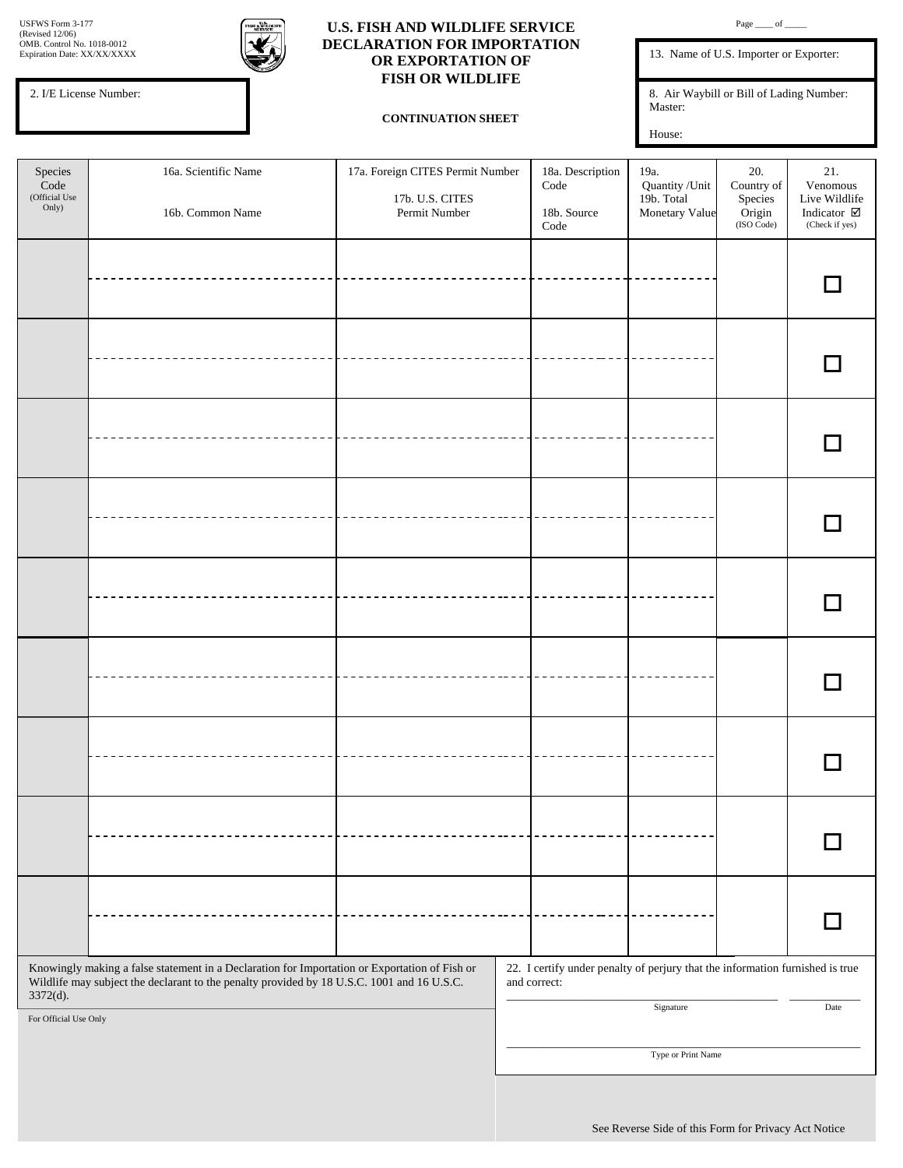13. Name of U.S. Importer or Exporter:

8. Air Waybill or Bill of Lading Number: Master:

House:

2. I/E License Number:

៵៵៶៶៓៲៸៲

## **U.S. FISH AND WILDLIFE SERVICE DECLARATION FOR IMPORTATION OR EXPORTATION OF FISH OR WILDLIFE**

## **CONTINUATION SHEET**

| Species<br>$\rm Code$<br>(Official Use<br>Only) | 16a. Scientific Name<br>16b. Common Name                                                                                                                                                    | 17a. Foreign CITES Permit Number<br>17b. U.S. CITES<br>Permit Number | 18a. Description<br>$\rm Code$<br>18b. Source<br>$\rm Code$                                   | 19a.<br>Quantity / Unit<br>19b. Total<br>Monetary Value | 20.<br>Country of<br>Species<br>Origin<br>$(ISO \overline{Code})$ | 21.<br>Venomous<br>Live Wildlife<br>Indicator $\boxtimes$<br>(Check if yes) |
|-------------------------------------------------|---------------------------------------------------------------------------------------------------------------------------------------------------------------------------------------------|----------------------------------------------------------------------|-----------------------------------------------------------------------------------------------|---------------------------------------------------------|-------------------------------------------------------------------|-----------------------------------------------------------------------------|
|                                                 |                                                                                                                                                                                             |                                                                      |                                                                                               |                                                         |                                                                   |                                                                             |
|                                                 |                                                                                                                                                                                             |                                                                      |                                                                                               |                                                         |                                                                   |                                                                             |
|                                                 |                                                                                                                                                                                             |                                                                      |                                                                                               |                                                         |                                                                   |                                                                             |
|                                                 |                                                                                                                                                                                             |                                                                      |                                                                                               |                                                         |                                                                   |                                                                             |
|                                                 |                                                                                                                                                                                             |                                                                      |                                                                                               |                                                         |                                                                   |                                                                             |
|                                                 |                                                                                                                                                                                             |                                                                      |                                                                                               |                                                         |                                                                   |                                                                             |
|                                                 |                                                                                                                                                                                             |                                                                      |                                                                                               |                                                         |                                                                   |                                                                             |
|                                                 |                                                                                                                                                                                             |                                                                      |                                                                                               |                                                         |                                                                   |                                                                             |
|                                                 |                                                                                                                                                                                             |                                                                      |                                                                                               |                                                         |                                                                   |                                                                             |
| 3372(d).                                        | Knowingly making a false statement in a Declaration for Importation or Exportation of Fish or<br>Wildlife may subject the declarant to the penalty provided by 18 U.S.C. 1001 and 16 U.S.C. |                                                                      | 22. I certify under penalty of perjury that the information furnished is true<br>and correct: | Signature                                               |                                                                   | Date                                                                        |
| For Official Use Only                           |                                                                                                                                                                                             |                                                                      |                                                                                               | Type or Print Name                                      |                                                                   |                                                                             |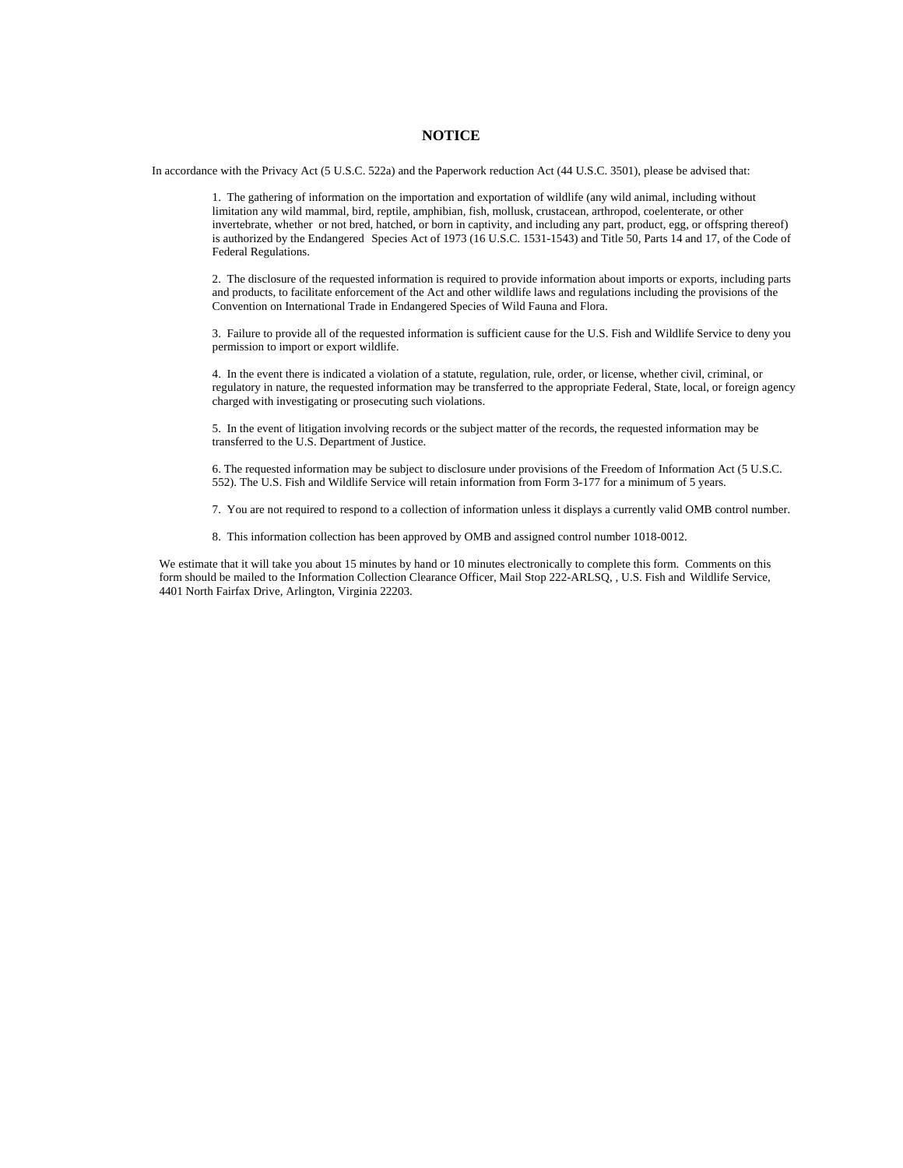## **NOTICE**

In accordance with the Privacy Act (5 U.S.C. 522a) and the Paperwork reduction Act (44 U.S.C. 3501), please be advised that:

 1. The gathering of information on the importation and exportation of wildlife (any wild animal, including without limitation any wild mammal, bird, reptile, amphibian, fish, mollusk, crustacean, arthropod, coelenterate, or other invertebrate, whether or not bred, hatched, or born in captivity, and including any part, product, egg, or offspring thereof) is authorized by the Endangered Species Act of 1973 (16 U.S.C. 1531-1543) and Title 50, Parts 14 and 17, of the Code of Federal Regulations.

 2. The disclosure of the requested information is required to provide information about imports or exports, including parts and products, to facilitate enforcement of the Act and other wildlife laws and regulations including the provisions of the Convention on International Trade in Endangered Species of Wild Fauna and Flora.

 3. Failure to provide all of the requested information is sufficient cause for the U.S. Fish and Wildlife Service to deny you permission to import or export wildlife.

 4. In the event there is indicated a violation of a statute, regulation, rule, order, or license, whether civil, criminal, or regulatory in nature, the requested information may be transferred to the appropriate Federal, State, local, or foreign agency charged with investigating or prosecuting such violations.

 5. In the event of litigation involving records or the subject matter of the records, the requested information may be transferred to the U.S. Department of Justice.

 6. The requested information may be subject to disclosure under provisions of the Freedom of Information Act (5 U.S.C. 552). The U.S. Fish and Wildlife Service will retain information from Form 3-177 for a minimum of 5 years.

7. You are not required to respond to a collection of information unless it displays a currently valid OMB control number.

8. This information collection has been approved by OMB and assigned control number 1018-0012.

 We estimate that it will take you about 15 minutes by hand or 10 minutes electronically to complete this form. Comments on this form should be mailed to the Information Collection Clearance Officer, Mail Stop 222-ARLSQ, , U.S. Fish and Wildlife Service, 4401 North Fairfax Drive, Arlington, Virginia 22203.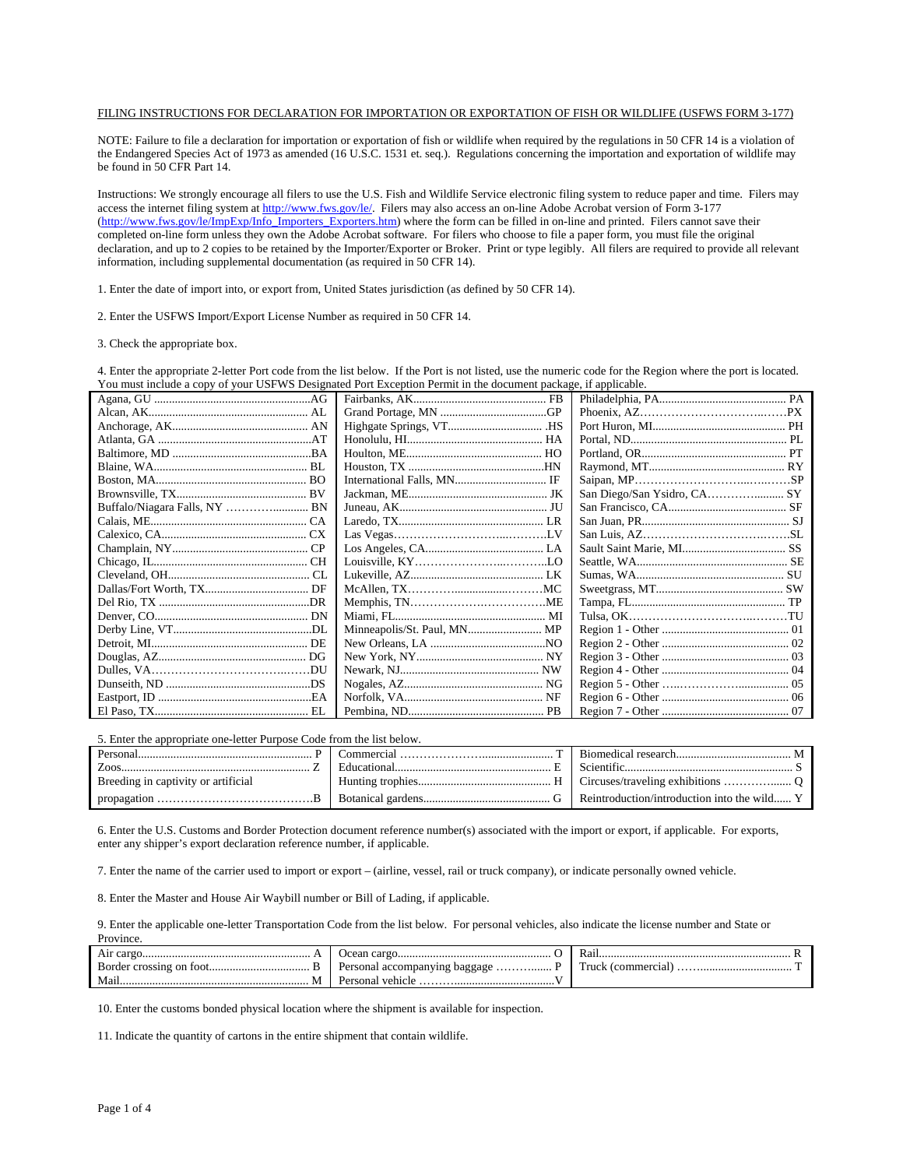## FILING INSTRUCTIONS FOR DECLARATION FOR IMPORTATION OR EXPORTATION OF FISH OR WILDLIFE (USFWS FORM 3-177)

NOTE: Failure to file a declaration for importation or exportation of fish or wildlife when required by the regulations in 50 CFR 14 is a violation of the Endangered Species Act of 1973 as amended (16 U.S.C. 1531 et. seq.). Regulations concerning the importation and exportation of wildlife may be found in 50 CFR Part 14.

Instructions: We strongly encourage all filers to use the U.S. Fish and Wildlife Service electronic filing system to reduce paper and time. Filers may access the internet filing system at<http://www.fws.gov/le/>. Filers may also access an on-line Adobe Acrobat version of Form 3-177 ([http://www.fws.gov/le/ImpExp/Info\\_Importers\\_Exporters.htm](http://www.fws.gov/le/ImpExp/Info_Importers_Exporters.htm)) where the form can be filled in on-line and printed. Filers cannot save their completed on-line form unless they own the Adobe Acrobat software. For filers who choose to file a paper form, you must file the original declaration, and up to 2 copies to be retained by the Importer/Exporter or Broker. Print or type legibly. All filers are required to provide all relevant information, including supplemental documentation (as required in 50 CFR 14).

1. Enter the date of import into, or export from, United States jurisdiction (as defined by 50 CFR 14).

2. Enter the USFWS Import/Export License Number as required in 50 CFR 14.

3. Check the appropriate box.

4. Enter the appropriate 2-letter Port code from the list below. If the Port is not listed, use the numeric code for the Region where the port is located. You must include a copy of your USFWS Designated Port Exception Permit in the document package, if applicable.

| Minneapolis/St. Paul, MN MP |  |
|-----------------------------|--|
|                             |  |
|                             |  |
|                             |  |
|                             |  |
|                             |  |
|                             |  |

5. Enter the appropriate one-letter Purpose Code from the list below.

| Personal                            | `ommercial                         | Riomedical research and the control of M    |
|-------------------------------------|------------------------------------|---------------------------------------------|
| Zoos                                | Educational                        |                                             |
| Breeding in captivity or artificial |                                    |                                             |
| — В.                                | Botanical gardens.<br>$\mathbf{f}$ | Reintroduction/introduction into the wild Y |

6. Enter the U.S. Customs and Border Protection document reference number(s) associated with the import or export, if applicable. For exports, enter any shipper's export declaration reference number, if applicable.

7. Enter the name of the carrier used to import or export – (airline, vessel, rail or truck company), or indicate personally owned vehicle.

8. Enter the Master and House Air Waybill number or Bill of Lading, if applicable.

9. Enter the applicable one-letter Transportation Code from the list below. For personal vehicles, also indicate the license number and State or **Province** 

| ______                   |                                    |                   |
|--------------------------|------------------------------------|-------------------|
| Air cargo                |                                    | Kai               |
| Border crossing on foot. | - Personal accompanying baggage  P | Truck (commercial |
| Mai.<br>м                |                                    |                   |

10. Enter the customs bonded physical location where the shipment is available for inspection.

11. Indicate the quantity of cartons in the entire shipment that contain wildlife.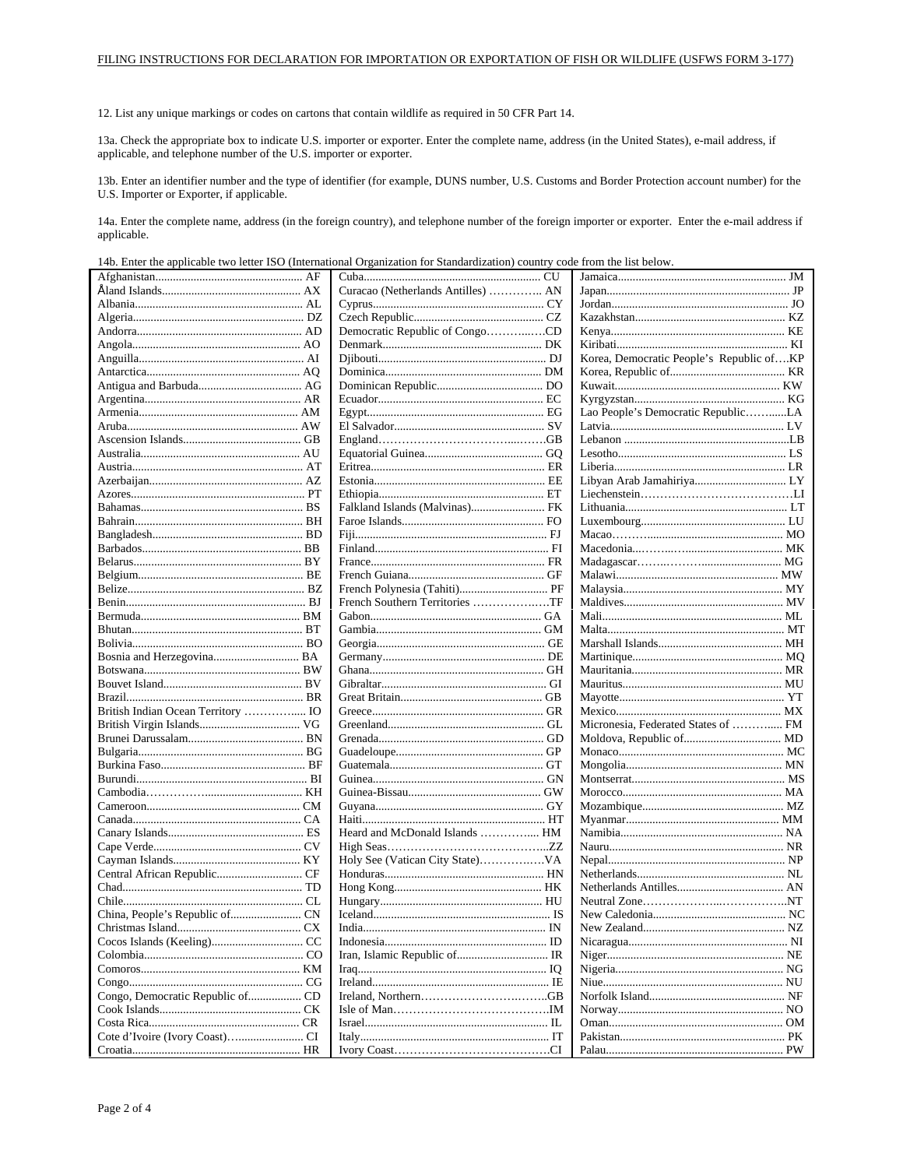12. List any unique markings or codes on cartons that contain wildlife as required in 50 CFR Part 14.

13a. Check the appropriate box to indicate U.S. importer or exporter. Enter the complete name, address (in the United States), e-mail address, if applicable, and telephone number of the U.S. importer or exporter.

13b. Enter an identifier number and the type of identifier (for example, DUNS number, U.S. Customs and Border Protection account number) for the U.S. Importer or Exporter, if applicable.

14a. Enter the complete name, address (in the foreign country), and telephone number of the foreign importer or exporter. Enter the e-mail address if applicable.

14b. Enter the applicable two letter ISO (International Organization for Standardization) country code from the list below.

|         |           | Curacao (Netherlands Antilles)  AN |          |                                          |           |
|---------|-----------|------------------------------------|----------|------------------------------------------|-----------|
|         |           |                                    |          |                                          |           |
|         |           |                                    |          |                                          |           |
|         |           | Democratic Republic of CongoCD     |          |                                          |           |
|         |           |                                    |          |                                          |           |
|         |           |                                    |          | Korea, Democratic People's Republic ofKP |           |
|         |           |                                    |          |                                          |           |
|         |           |                                    |          |                                          |           |
|         |           |                                    |          |                                          |           |
|         |           |                                    |          |                                          |           |
|         |           |                                    |          | Lao People's Democratic RepublicLA       |           |
|         |           |                                    |          |                                          |           |
|         |           |                                    |          |                                          |           |
|         |           |                                    |          |                                          |           |
|         |           |                                    |          |                                          |           |
|         |           |                                    |          |                                          |           |
|         |           |                                    |          |                                          |           |
|         |           |                                    |          |                                          |           |
|         |           |                                    |          |                                          |           |
|         |           |                                    |          |                                          |           |
|         |           |                                    |          |                                          |           |
|         |           |                                    |          |                                          |           |
|         |           |                                    |          |                                          |           |
|         |           |                                    |          |                                          |           |
|         |           | French Southern Territories TF     |          |                                          |           |
|         |           |                                    |          |                                          |           |
|         |           |                                    |          |                                          |           |
|         |           |                                    |          |                                          |           |
|         |           |                                    |          |                                          |           |
|         |           |                                    |          |                                          |           |
|         |           |                                    |          |                                          |           |
|         |           |                                    |          |                                          |           |
|         |           |                                    |          |                                          |           |
|         |           |                                    |          | Micronesia, Federated States of  FM      |           |
|         |           |                                    |          |                                          |           |
|         |           |                                    |          |                                          |           |
|         |           |                                    |          |                                          |           |
|         |           |                                    |          |                                          |           |
|         |           |                                    |          |                                          |           |
|         |           |                                    |          |                                          |           |
|         |           |                                    |          |                                          |           |
|         |           |                                    |          |                                          |           |
|         |           | Heard and McDonald Islands  HM     |          |                                          |           |
|         |           |                                    |          |                                          |           |
|         |           |                                    |          |                                          |           |
|         |           |                                    |          |                                          |           |
|         |           |                                    |          |                                          |           |
|         |           |                                    |          |                                          |           |
|         |           |                                    |          |                                          |           |
|         |           |                                    |          |                                          |           |
|         |           |                                    |          |                                          |           |
|         |           |                                    |          |                                          |           |
|         |           |                                    |          |                                          |           |
|         |           |                                    |          |                                          |           |
|         |           |                                    |          |                                          |           |
|         |           |                                    |          |                                          |           |
|         |           |                                    |          |                                          |           |
|         |           |                                    |          |                                          |           |
| Croatia | <b>HR</b> | <b>Ivory Coast</b>                 | $\Gamma$ | Palau                                    | <b>PW</b> |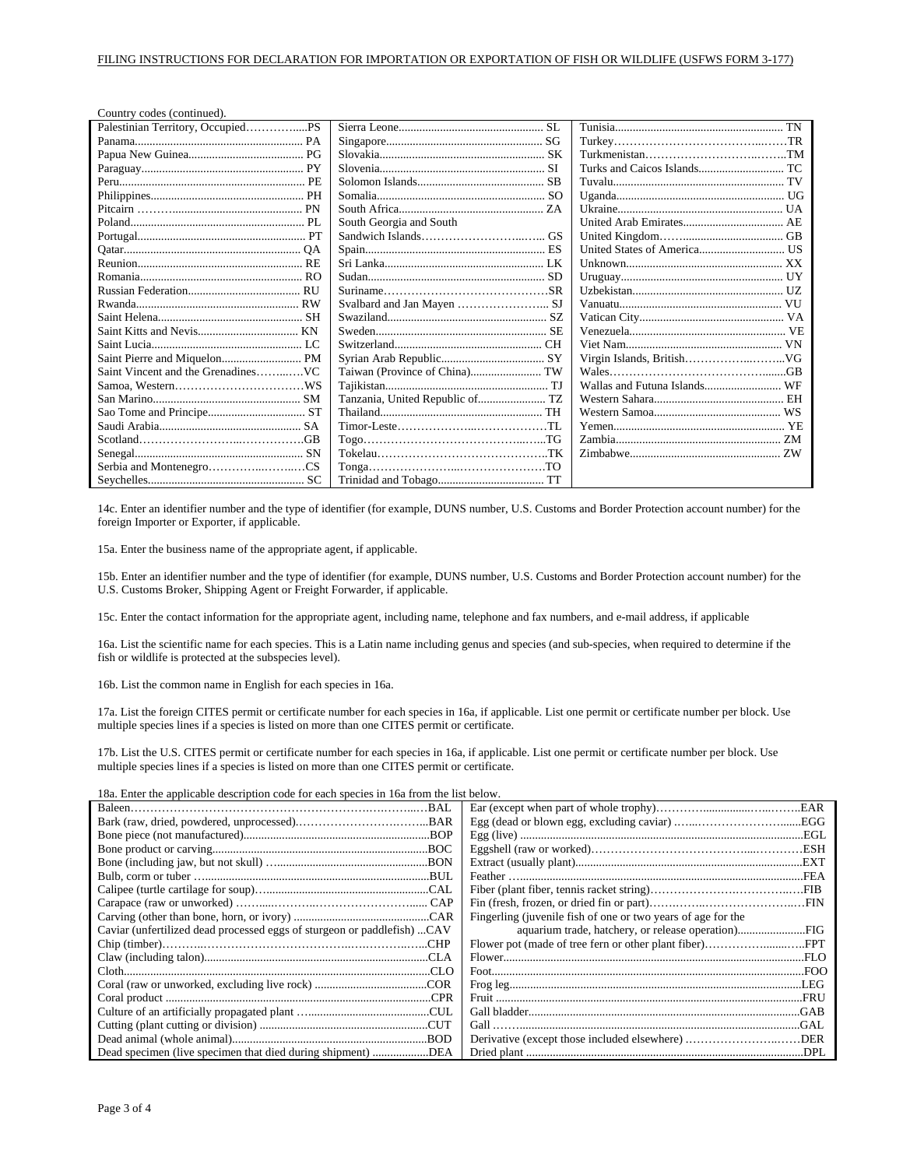| Country codes (continued).        |                                  |  |
|-----------------------------------|----------------------------------|--|
| Palestinian Territory, OccupiedPS |                                  |  |
|                                   |                                  |  |
|                                   |                                  |  |
|                                   |                                  |  |
|                                   |                                  |  |
|                                   |                                  |  |
|                                   |                                  |  |
|                                   | South Georgia and South          |  |
|                                   |                                  |  |
|                                   |                                  |  |
|                                   |                                  |  |
|                                   |                                  |  |
|                                   |                                  |  |
|                                   |                                  |  |
|                                   |                                  |  |
|                                   |                                  |  |
|                                   |                                  |  |
|                                   |                                  |  |
|                                   |                                  |  |
|                                   |                                  |  |
|                                   | Tanzania, United Republic of  TZ |  |
|                                   |                                  |  |
|                                   |                                  |  |
|                                   |                                  |  |
|                                   |                                  |  |
|                                   |                                  |  |
|                                   |                                  |  |

14c. Enter an identifier number and the type of identifier (for example, DUNS number, U.S. Customs and Border Protection account number) for the foreign Importer or Exporter, if applicable.

15a. Enter the business name of the appropriate agent, if applicable.

15b. Enter an identifier number and the type of identifier (for example, DUNS number, U.S. Customs and Border Protection account number) for the U.S. Customs Broker, Shipping Agent or Freight Forwarder, if applicable.

15c. Enter the contact information for the appropriate agent, including name, telephone and fax numbers, and e-mail address, if applicable

16a. List the scientific name for each species. This is a Latin name including genus and species (and sub-species, when required to determine if the fish or wildlife is protected at the subspecies level).

16b. List the common name in English for each species in 16a.

17a. List the foreign CITES permit or certificate number for each species in 16a, if applicable. List one permit or certificate number per block. Use multiple species lines if a species is listed on more than one CITES permit or certificate.

17b. List the U.S. CITES permit or certificate number for each species in 16a, if applicable. List one permit or certificate number per block. Use multiple species lines if a species is listed on more than one CITES permit or certificate.

18a. Enter the applicable description code for each species in 16a from the list below.

|                                                                         | Fingerling (juvenile fish of one or two years of age for the |
|-------------------------------------------------------------------------|--------------------------------------------------------------|
| Caviar (unfertilized dead processed eggs of sturgeon or paddlefish) CAV |                                                              |
|                                                                         |                                                              |
|                                                                         |                                                              |
|                                                                         |                                                              |
|                                                                         |                                                              |
|                                                                         |                                                              |
|                                                                         |                                                              |
|                                                                         |                                                              |
|                                                                         |                                                              |
| Dead specimen (live specimen that died during shipment) DEA             |                                                              |